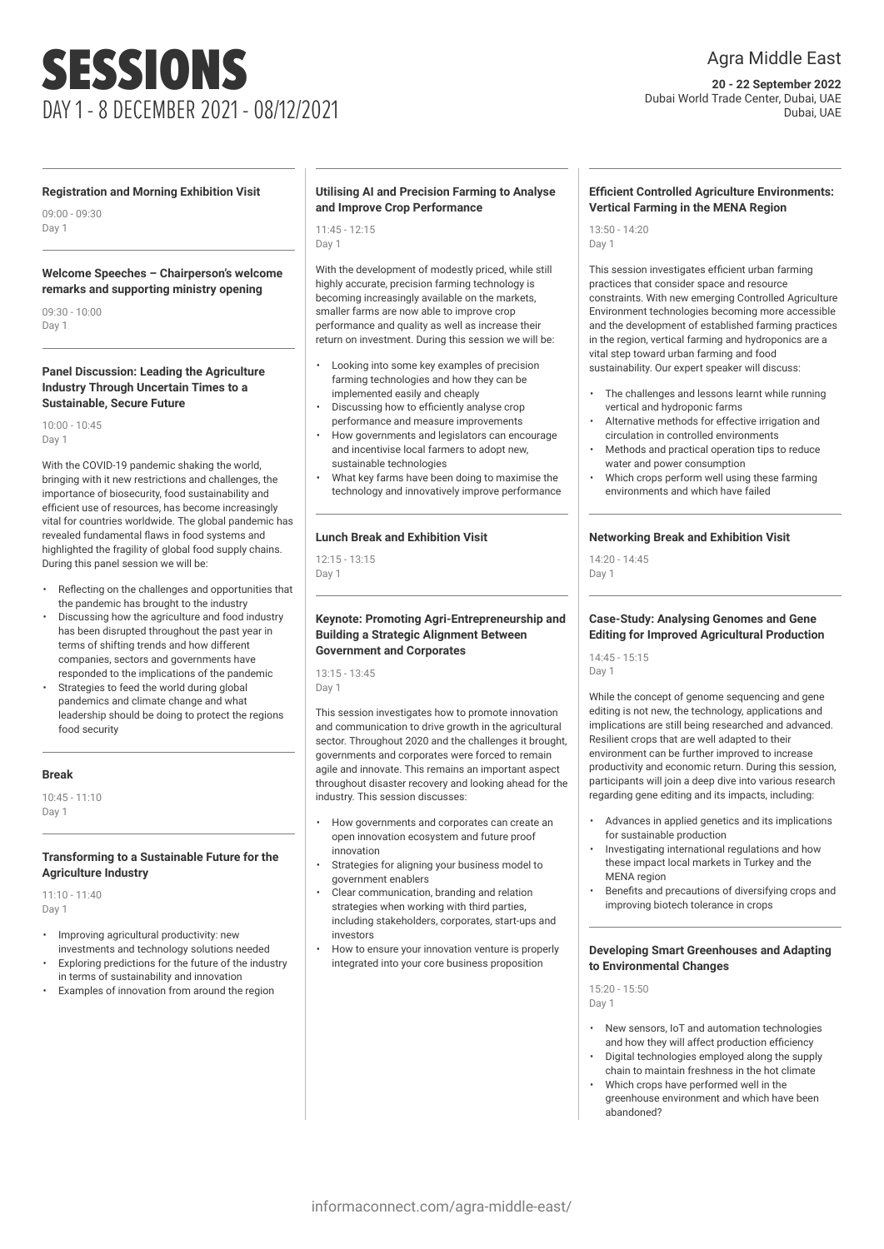# SESSIONS DAY 1 - 8 DECEMBER 2021 - 08/12/2021

# Agra Middle East

**20 - 22 September 2022** Dubai World Trade Center, Dubai, UAE Dubai, UAE

### **Registration and Morning Exhibition Visit**

09:00 - 09:30 Day 1

### **Welcome Speeches – Chairperson's welcome remarks and supporting ministry opening**

09:30 - 10:00 Day 1

### **Panel Discussion: Leading the Agriculture Industry Through Uncertain Times to a Sustainable, Secure Future**

10:00 - 10:45 Day 1

With the COVID-19 pandemic shaking the world, bringing with it new restrictions and challenges, the importance of biosecurity, food sustainability and efficient use of resources, has become increasingly vital for countries worldwide. The global pandemic has revealed fundamental flaws in food systems and highlighted the fragility of global food supply chains. During this panel session we will be:

- Reflecting on the challenges and opportunities that the pandemic has brought to the industry
- Discussing how the agriculture and food industry has been disrupted throughout the past year in terms of shifting trends and how different companies, sectors and governments have responded to the implications of the pandemic
- Strategies to feed the world during global pandemics and climate change and what leadership should be doing to protect the regions food security

# **Break**

10:45 - 11:10 Day 1

# **Transforming to a Sustainable Future for the Agriculture Industry**

11:10 - 11:40 Day 1

- Improving agricultural productivity: new investments and technology solutions needed
- Exploring predictions for the future of the industry in terms of sustainability and innovation
- Examples of innovation from around the region

# **Utilising AI and Precision Farming to Analyse and Improve Crop Performance**

11:45 - 12:15 Day 1

With the development of modestly priced, while still highly accurate, precision farming technology is becoming increasingly available on the markets, smaller farms are now able to improve crop performance and quality as well as increase their return on investment. During this session we will be:

- Looking into some key examples of precision farming technologies and how they can be implemented easily and cheaply
- Discussing how to efficiently analyse crop performance and measure improvements
- How governments and legislators can encourage and incentivise local farmers to adopt new, sustainable technologies
- What key farms have been doing to maximise the technology and innovatively improve performance

### **Lunch Break and Exhibition Visit**

 $12.15 - 13.15$ Day 1

### **Keynote: Promoting Agri-Entrepreneurship and Building a Strategic Alignment Between Government and Corporates**

13:15 - 13:45 Day 1

This session investigates how to promote innovation and communication to drive growth in the agricultural sector. Throughout 2020 and the challenges it brought, governments and corporates were forced to remain agile and innovate. This remains an important aspect throughout disaster recovery and looking ahead for the industry. This session discusses:

- How governments and corporates can create an open innovation ecosystem and future proof innovation
- Strategies for aligning your business model to government enablers
- Clear communication, branding and relation strategies when working with third parties, including stakeholders, corporates, start-ups and investors
- How to ensure your innovation venture is properly integrated into your core business proposition

# **Efficient Controlled Agriculture Environments: Vertical Farming in the MENA Region**

13:50 - 14:20 Day 1

This session investigates efficient urban farming practices that consider space and resource constraints. With new emerging Controlled Agriculture Environment technologies becoming more accessible and the development of established farming practices in the region, vertical farming and hydroponics are a vital step toward urban farming and food sustainability. Our expert speaker will discuss:

- The challenges and lessons learnt while running vertical and hydroponic farms
- Alternative methods for effective irrigation and circulation in controlled environments
- Methods and practical operation tips to reduce water and power consumption
- Which crops perform well using these farming environments and which have failed

### **Networking Break and Exhibition Visit**

 $14.20 - 14.45$ Day 1

### **Case-Study: Analysing Genomes and Gene Editing for Improved Agricultural Production**

14:45 - 15:15 Day 1

While the concept of genome sequencing and gene editing is not new, the technology, applications and implications are still being researched and advanced. Resilient crops that are well adapted to their environment can be further improved to increase productivity and economic return. During this session, participants will join a deep dive into various research regarding gene editing and its impacts, including:

- Advances in applied genetics and its implications for sustainable production
- Investigating international regulations and how these impact local markets in Turkey and the MENA region
- Benefits and precautions of diversifying crops and improving biotech tolerance in crops

# **Developing Smart Greenhouses and Adapting to Environmental Changes**

15:20 - 15:50 Day 1

- New sensors, IoT and automation technologies and how they will affect production efficiency
- Digital technologies employed along the supply chain to maintain freshness in the hot climate
- Which crops have performed well in the greenhouse environment and which have been abandoned?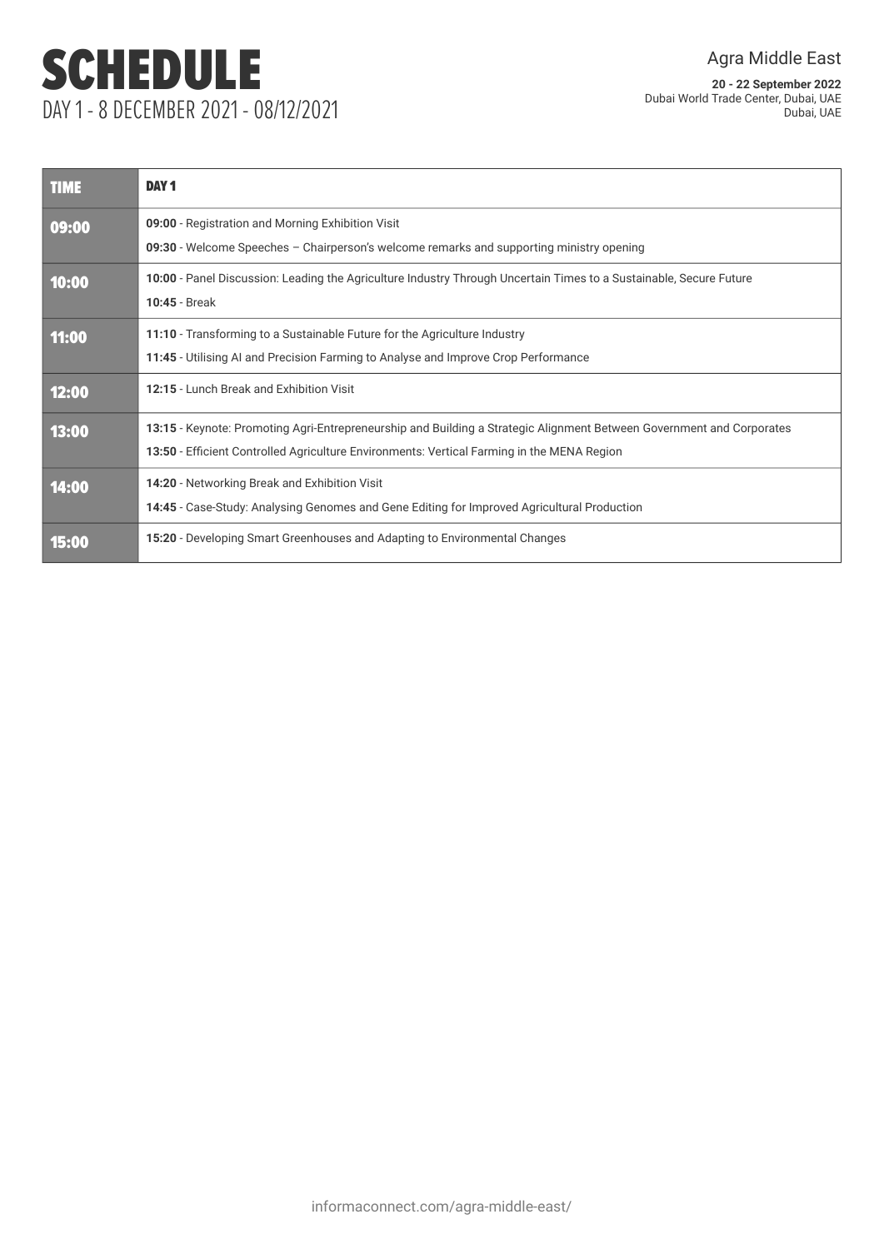# SCHEDULE DAY 1 - 8 DECEMBER 2021 - 08/12/2021

**20 - 22 September 2022** Dubai World Trade Center, Dubai, UAE Dubai, UAE

| <b>TIME</b> | <b>DAY1</b>                                                                                                                                                                                                         |
|-------------|---------------------------------------------------------------------------------------------------------------------------------------------------------------------------------------------------------------------|
| 09:00       | 09:00 - Registration and Morning Exhibition Visit<br>09:30 - Welcome Speeches – Chairperson's welcome remarks and supporting ministry opening                                                                       |
| 10:00       | 10:00 - Panel Discussion: Leading the Agriculture Industry Through Uncertain Times to a Sustainable, Secure Future<br>10:45 - Break                                                                                 |
| 11:00       | 11:10 - Transforming to a Sustainable Future for the Agriculture Industry<br>11:45 - Utilising AI and Precision Farming to Analyse and Improve Crop Performance                                                     |
| 12:00       | 12:15 - Lunch Break and Exhibition Visit                                                                                                                                                                            |
| 13:00       | 13:15 - Keynote: Promoting Agri-Entrepreneurship and Building a Strategic Alignment Between Government and Corporates<br>13:50 - Efficient Controlled Agriculture Environments: Vertical Farming in the MENA Region |
| 14:00       | 14:20 - Networking Break and Exhibition Visit<br>14:45 - Case-Study: Analysing Genomes and Gene Editing for Improved Agricultural Production                                                                        |
| 15:00       | 15:20 - Developing Smart Greenhouses and Adapting to Environmental Changes                                                                                                                                          |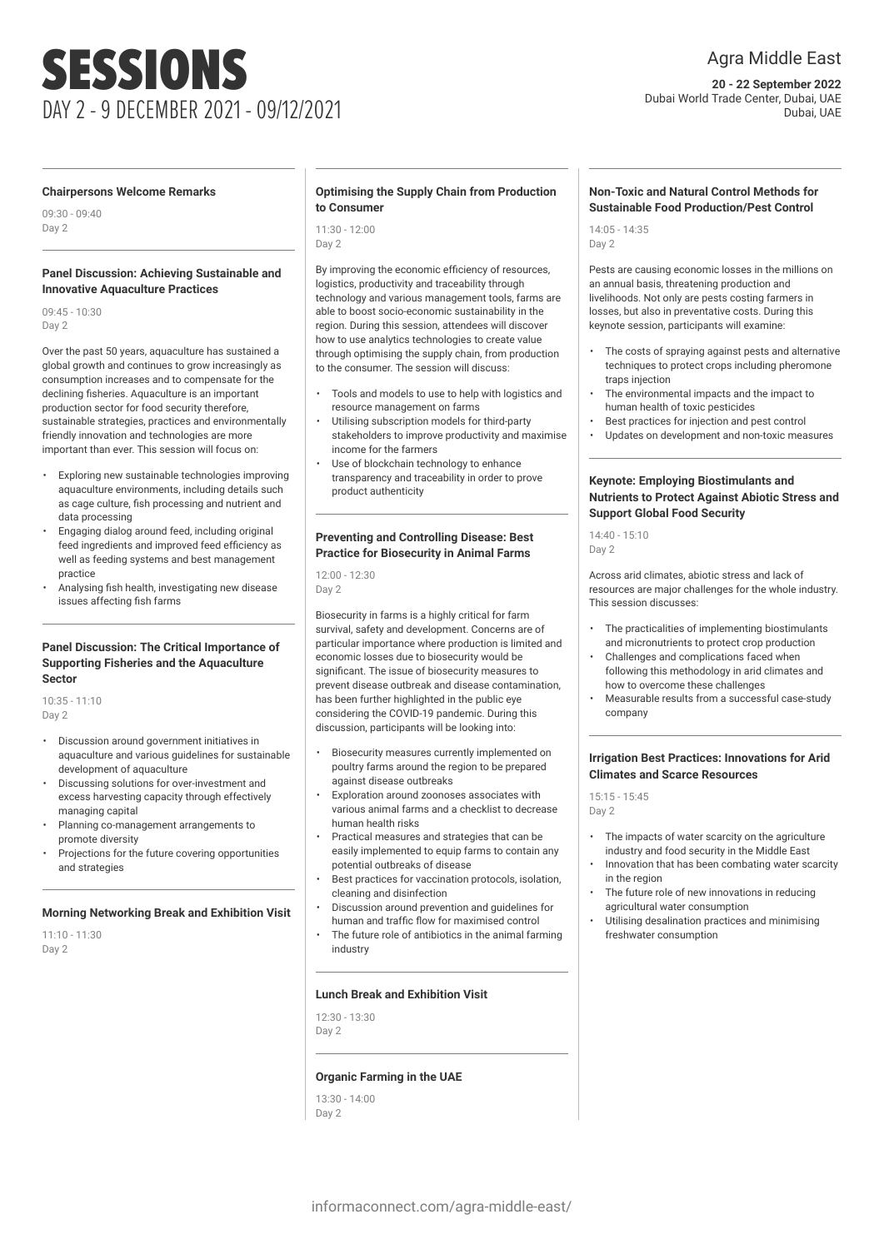# SESSIONS DAY 2 - 9 DECEMBER 2021 - 09/12/2021

# Agra Middle East

**20 - 22 September 2022** Dubai World Trade Center, Dubai, UAE Dubai, UAE

### **Chairpersons Welcome Remarks**

09:30 - 09:40 Day 2

### **Panel Discussion: Achieving Sustainable and Innovative Aquaculture Practices**

09:45 - 10:30 Day 2

Over the past 50 years, aquaculture has sustained a global growth and continues to grow increasingly as consumption increases and to compensate for the declining fisheries. Aquaculture is an important production sector for food security therefore, sustainable strategies, practices and environmentally friendly innovation and technologies are more important than ever. This session will focus on:

- Exploring new sustainable technologies improving aquaculture environments, including details such as cage culture, fish processing and nutrient and data processing
- Engaging dialog around feed, including original feed ingredients and improved feed efficiency as well as feeding systems and best management practice
- Analysing fish health, investigating new disease issues affecting fish farms

### **Panel Discussion: The Critical Importance of Supporting Fisheries and the Aquaculture Sector**

10:35 - 11:10 Day 2

- Discussion around government initiatives in aquaculture and various guidelines for sustainable development of aquaculture
- Discussing solutions for over-investment and excess harvesting capacity through effectively managing capital
- Planning co-management arrangements to promote diversity
- Projections for the future covering opportunities and strategies

# **Morning Networking Break and Exhibition Visit**

 $11:10 - 11:30$ Day 2

# **Optimising the Supply Chain from Production to Consumer**

11:30 - 12:00 Day 2

By improving the economic efficiency of resources, logistics, productivity and traceability through technology and various management tools, farms are able to boost socio-economic sustainability in the region. During this session, attendees will discover how to use analytics technologies to create value through optimising the supply chain, from production to the consumer. The session will discuss:

- Tools and models to use to help with logistics and resource management on farms
- Utilising subscription models for third-party stakeholders to improve productivity and maximise income for the farmers
- Use of blockchain technology to enhance transparency and traceability in order to prove product authenticity

### **Preventing and Controlling Disease: Best Practice for Biosecurity in Animal Farms**

12:00 - 12:30 Day 2

Biosecurity in farms is a highly critical for farm survival, safety and development. Concerns are of particular importance where production is limited and economic losses due to biosecurity would be significant. The issue of biosecurity measures to prevent disease outbreak and disease contamination, has been further highlighted in the public eye considering the COVID-19 pandemic. During this discussion, participants will be looking into:

- Biosecurity measures currently implemented on poultry farms around the region to be prepared against disease outbreaks
- Exploration around zoonoses associates with various animal farms and a checklist to decrease human health risks
- Practical measures and strategies that can be easily implemented to equip farms to contain any potential outbreaks of disease
- Best practices for vaccination protocols, isolation, cleaning and disinfection
- Discussion around prevention and guidelines for human and traffic flow for maximised control
- The future role of antibiotics in the animal farming industry

#### **Lunch Break and Exhibition Visit**

12:30 - 13:30 Day 2

# **Organic Farming in the UAE**

13:30 - 14:00 Day 2

# **Non-Toxic and Natural Control Methods for Sustainable Food Production/Pest Control**

14:05 - 14:35 Day 2

Pests are causing economic losses in the millions on an annual basis, threatening production and livelihoods. Not only are pests costing farmers in losses, but also in preventative costs. During this keynote session, participants will examine:

- The costs of spraying against pests and alternative techniques to protect crops including pheromone traps injection
- The environmental impacts and the impact to human health of toxic pesticides
- Best practices for injection and pest control
- Updates on development and non-toxic measures

# **Keynote: Employing Biostimulants and Nutrients to Protect Against Abiotic Stress and Support Global Food Security**

14:40 - 15:10 Day 2

Across arid climates, abiotic stress and lack of resources are major challenges for the whole industry. This session discusses:

- The practicalities of implementing biostimulants and micronutrients to protect crop production
- Challenges and complications faced when following this methodology in arid climates and how to overcome these challenges
- Measurable results from a successful case-study company

### **Irrigation Best Practices: Innovations for Arid Climates and Scarce Resources**

15:15 - 15:45 Day 2

- The impacts of water scarcity on the agriculture industry and food security in the Middle East
- Innovation that has been combating water scarcity in the region
- The future role of new innovations in reducing agricultural water consumption
- Utilising desalination practices and minimising freshwater consumption